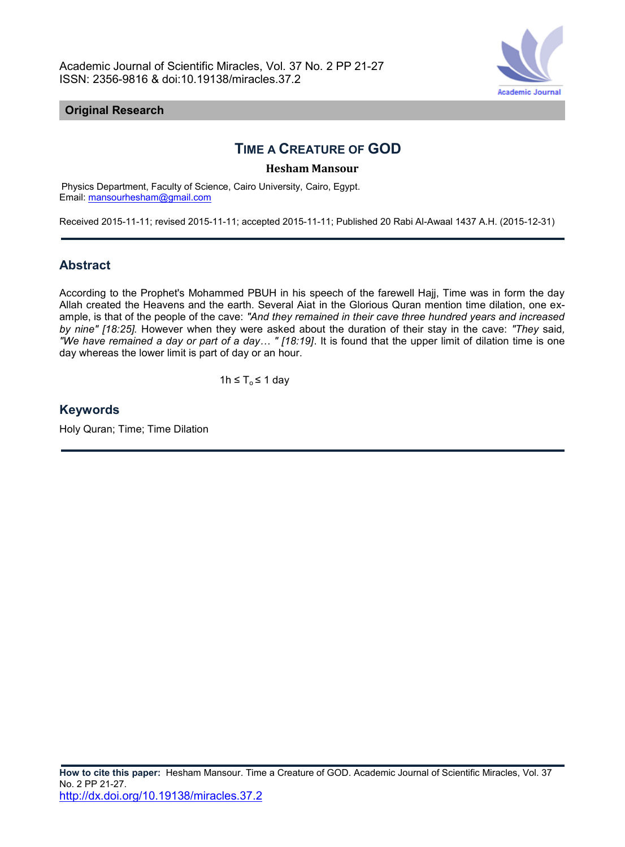Academic Journal of Scientific Miracles, Vol. 37 No. 2 PP 21-27 ISSN: 2356-9816 & doi:10.19138/miracles.37.2



## **Original Research**

# **TIME A CREATURE OF GOD**

#### **Hesham Mansour**

Physics Department, Faculty of Science, Cairo University, Cairo, Egypt. Email: [mansourhesham@gmail.com](mailto:mansourhesham@gmail.com)

Received 2015-11-11; revised 2015-11-11; accepted 2015-11-11; Published 20 Rabi Al-Awaal 1437 A.H. (2015-12-31)

# **Abstract**

According to the Prophet's Mohammed PBUH in his speech of the farewell Hajj, Time was in form the day Allah created the Heavens and the earth. Several Aiat in the Glorious Quran mention time dilation, one example, is that of the people of the cave: *"And they remained in their cave three hundred years and increased by nine" [18:25].* However when they were asked about the duration of their stay in the cave: *"They* said*, "We have remained a day or part of a day… " [18:19]*. It is found that the upper limit of dilation time is one day whereas the lower limit is part of day or an hour.

1h ≤  $T_0$  ≤ 1 day

# **Keywords**

Holy Quran; Time; Time Dilation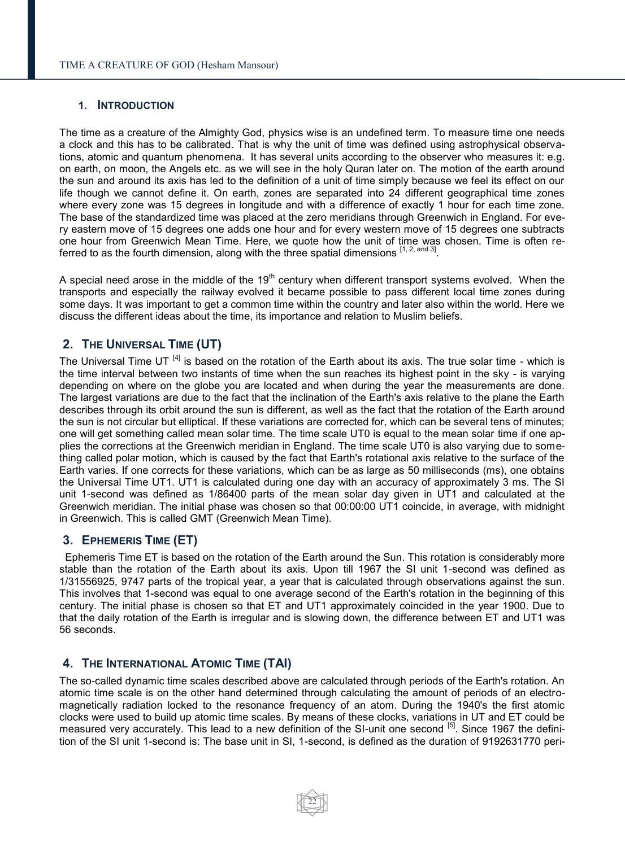#### **1. INTRODUCTION**

The time as a creature of the Almighty God, physics wise is an undefined term. To measure time one needs a clock and this has to be calibrated. That is why the unit of time was defined using astrophysical observations, atomic and quantum phenomena. It has several units according to the observer who measures it: e.g. on earth, on moon, the Angels etc. as we will see in the holy Quran later on. The motion of the earth around the sun and around its axis has led to the definition of a unit of time simply because we feel its effect on our life though we cannot define it. On earth, zones are separated into 24 different geographical time zones where every zone was 15 degrees in longitude and with a difference of exactly 1 hour for each time zone. The base of the standardized time was placed at the zero meridians through Greenwich in England. For every eastern move of 15 degrees one adds one hour and for every western move of 15 degrees one subtracts one hour from Greenwich Mean Time. Here, we quote how the unit of time was chosen. Time is often referred to as the fourth dimension, along with the three spatial dimensions  $^{[1, 2, \text{ and } 3]}$ .

A special need arose in the middle of the  $19<sup>th</sup>$  century when different transport systems evolved. When the transports and especially the railway evolved it became possible to pass different local time zones during some days. It was important to get a common time within the country and later also within the world. Here we discuss the different ideas about the time, its importance and relation to Muslim beliefs.

# **2. THE UNIVERSAL TIME (UT)**

The Universal Time UT  $^{[4]}$  is based on the rotation of the Earth about its axis. The true solar time - which is the time interval between two instants of time when the sun reaches its highest point in the sky - is varying depending on where on the globe you are located and when during the year the measurements are done. The largest variations are due to the fact that the inclination of the Earth's axis relative to the plane the Earth describes through its orbit around the sun is different, as well as the fact that the rotation of the Earth around the sun is not circular but elliptical. If these variations are corrected for, which can be several tens of minutes; one will get something called mean solar time. The time scale UT0 is equal to the mean solar time if one applies the corrections at the Greenwich meridian in England. The time scale UT0 is also varying due to something called polar motion, which is caused by the fact that Earth's rotational axis relative to the surface of the Earth varies. If one corrects for these variations, which can be as large as 50 milliseconds (ms), one obtains the Universal Time UT1. UT1 is calculated during one day with an accuracy of approximately 3 ms. The SI unit 1-second was defined as 1/86400 parts of the mean solar day given in UT1 and calculated at the Greenwich meridian. The initial phase was chosen so that 00:00:00 UT1 coincide, in average, with midnight in Greenwich. This is called GMT (Greenwich Mean Time).

# **3. EPHEMERIS TIME (ET)**

 Ephemeris Time ET is based on the rotation of the Earth around the Sun. This rotation is considerably more stable than the rotation of the Earth about its axis. Upon till 1967 the SI unit 1-second was defined as 1/31556925, 9747 parts of the tropical year, a year that is calculated through observations against the sun. This involves that 1-second was equal to one average second of the Earth's rotation in the beginning of this century. The initial phase is chosen so that ET and UT1 approximately coincided in the year 1900. Due to that the daily rotation of the Earth is irregular and is slowing down, the difference between ET and UT1 was 56 seconds.

# **4. THE INTERNATIONAL ATOMIC TIME (TAI)**

The so-called dynamic time scales described above are calculated through periods of the Earth's rotation. An atomic time scale is on the other hand determined through calculating the amount of periods of an electromagnetically radiation locked to the resonance frequency of an atom. During the 1940's the first atomic clocks were used to build up atomic time scales. By means of these clocks, variations in UT and ET could be measured very accurately. This lead to a new definition of the SI-unit one second <sup>[5]</sup>. Since 1967 the definition of the SI unit 1-second is: The base unit in SI, 1-second, is defined as the duration of 9192631770 peri-

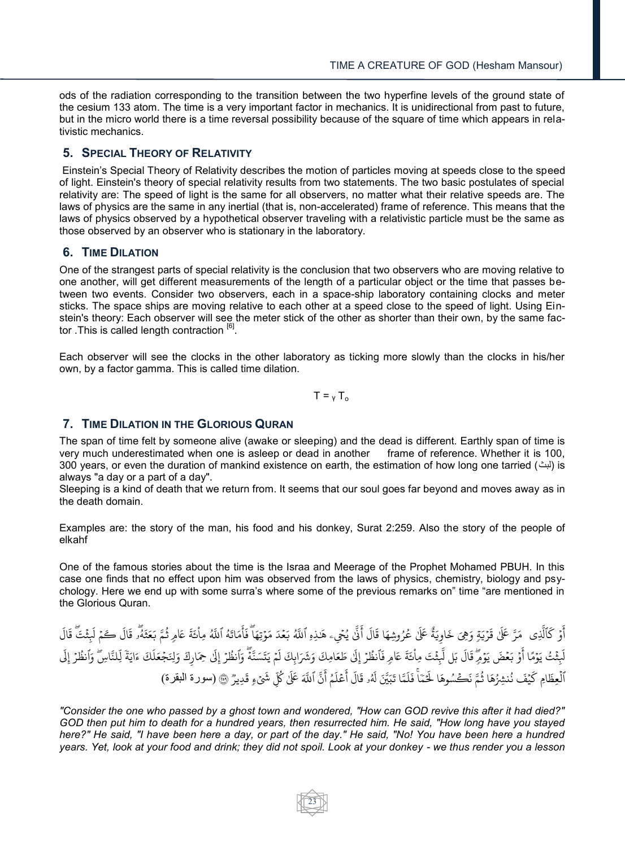ods of the radiation corresponding to the transition between the two hyperfine levels of the ground state of the cesium 133 atom. The time is a very important factor in mechanics. It is unidirectional from past to future, but in the micro world there is a time reversal possibility because of the square of time which appears in relativistic mechanics.

# **5. SPECIAL THEORY OF RELATIVITY**

Einstein's Special Theory of Relativity describes the motion of particles moving at speeds close to the speed of light. Einstein's theory of special relativity results from two statements. The two basic postulates of special relativity are: The speed of light is the same for all observers, no matter what their relative speeds are. The laws of physics are the same in any inertial (that is, non-accelerated) frame of reference. This means that the laws of physics observed by a hypothetical observer traveling with a relativistic particle must be the same as those observed by an observer who is stationary in the laboratory.

# **6. TIME DILATION**

One of the strangest parts of special relativity is the conclusion that two observers who are moving relative to one another, will get different measurements of the length of a particular object or the time that passes between two events. Consider two observers, each in a space-ship laboratory containing clocks and meter sticks. The space ships are moving relative to each other at a speed close to the speed of light. Using Einstein's theory: Each observer will see the meter stick of the other as shorter than their own, by the same factor . This is called length contraction [6].

Each observer will see the clocks in the other laboratory as ticking more slowly than the clocks in his/her own, by a factor gamma. This is called time dilation.

 $T = v T_0$ 

# **7. TIME DILATION IN THE GLORIOUS QURAN**

The span of time felt by someone alive (awake or sleeping) and the dead is different. Earthly span of time is very much underestimated when one is asleep or dead in another frame of reference. Whether it is 100, 300 years, or even the duration of mankind existence on earth, the estimation of how long one tarried ( $\mu$ ) is always "a day or a part of a day".

Sleeping is a kind of death that we return from. It seems that our soul goes far beyond and moves away as in the death domain.

Examples are: the story of the man, his food and his donkey, Surat 2:259. Also the story of the people of elkahf

One of the famous stories about the time is the Israa and Meerage of the Prophet Mohamed PBUH. In this case one finds that no effect upon him was observed from the laws of physics, chemistry, biology and psychology. Here we end up with some surra's where some of the previous remarks on" time "are mentioned in the Glorious Quran.

ِي اَ الَّذِ ر<br>ح ن و  $\ddot{\phantom{a}}$ ِ<br>په أَوْ كَٱلَّذِى ۚ مَرَّ عَلَىٰ قَرْيَةٍ وَهِيَ خَاوِيَةٌ عَلَىٰ عُرُوشِهَا قَالَ أَنَّىٰ يُحْيِۦ ֺ֦֧֝<sup>֓</sup> ٍٍّّ َّن ءِ<br>په خ ً<br>آ خَاوِيَةٌ عَلَىٰ عُرُوشِهَا قَالَ أَنَّىٰ يُحْيِء هَدِدِهِ ٱللَّهُ بَعْدَ مَوْتِهَا ۖ فَأَمَاتَهُ ٱللَّهُ مِاْئَةَ عَامِ ُ ر<br>م ٰ **ٔ** ر<br>م ِ<br>ع هَـٰذِهِ ٱللَّهُ بَعۡدَ مَوۡتِهَا ۖ فَأَمَاتَهُ ٱللَّهُ مِاْئَةَ عَامِرِ ڎُ ؚ<br>ۣ ۡ ٰ و<br>په ِ<br>آ شَتَّ قَالَ ្ ِ<br>آ َل ً كَ َ  $\frac{1}{2}$ ـ<br>مَّ بَعَثَهُو قَالَ ڪار∕<br>ا∕ا وۡ بَعۡضَ يَوۡفِرِ ؙؚ<br>ؙ  $\ddot{\phantom{0}}$ ِ<br>په ثَتُ يَوۡمًا أَ  $\ddot{\phantom{0}}$ ؚ<br>ۣ ً<br>آ لَبِثۡتُ يَوۡمًا أَوۡ بَعۡضَ يَوۡمِّ قَالَ بَل ً<br>آ قَالَ بَل لَّبِثْتَ مِاْئَةَ عَامِ <u>ٔ</u> ់ .<br>آ لَّبِثۡتَ مِاْئَةَ عَامِرِ فَٱنظُرۡ إِلَىٰ طَعَ ِ<br>آ .<br>فَٱنظُرْ إِلَىٰ طَعَامِكَ وَشَرَابِكَ لَمْ يَتَسَنَّهُ إ ֺ֦֧֝<sup>֓</sup> ُ تنا<br>م  $\frac{1}{2}$ امِكَ وَشَرَابِكَ لَمْ يَتَسَنَّهُّ وَٱنظُرْ إِلَىٰ حِمَارِكَ وَلِنَجْعَلَكَ ءَايَةَ ل ل<br>وَلِنَجْعَلَ ֧֘ وَٱنظُرۡ إِلَىٰ  $\ddot{\phantom{0}}$ ُ ً<br>آ لنَّاسِّ وَٱنظُرْ إِلَى  $\ddot{\phantom{0}}$ ُ ֧֦֧֞<sup>֟</sup> ى  $\tilde{\xi}$  $\ddot{ }$ ِ<br>آ يَفَ نُنشِزُهَا ثُمَّ نَكَسُوهَا لَخَ ر<br>په ُ اْلْعِظَامِ كَيْفَ نُنشِزُهَا ثُمَّ نَكْسُوهَا لَخَمَّاً فَلَمَّا ہ<br>آ  $\tilde{1}$ اَّ فَلَمَّا تَبَيَّنَ لَهُۥ قَالَ أَعْلَمُ أَنَّ ٱللَّهَ عَلَىٰ كُلِّ شَيْءٍ **:** ِ<br>په أ ُ ءِ<br>م ً<br>آ ي ع ؚ<br>م ر<br>آ أ و قَالَ ر<br>د َ تَبَيَّنَ لَهُۥ قَالَ أَعْلَمُ أَنَّ ٱللَّهَ عَلَىٰ كُلِّ شَيْءٍ قَدِيرٌ ۞ (سورة البقرة)

*"Consider the one who passed by a ghost town and wondered, "How can GOD revive this after it had died?" GOD then put him to death for a hundred years, then resurrected him. He said, "How long have you stayed here?" He said, "I have been here a day, or part of the day." He said, "No! You have been here a hundred years. Yet, look at your food and drink; they did not spoil. Look at your donkey - we thus render you a lesson* 

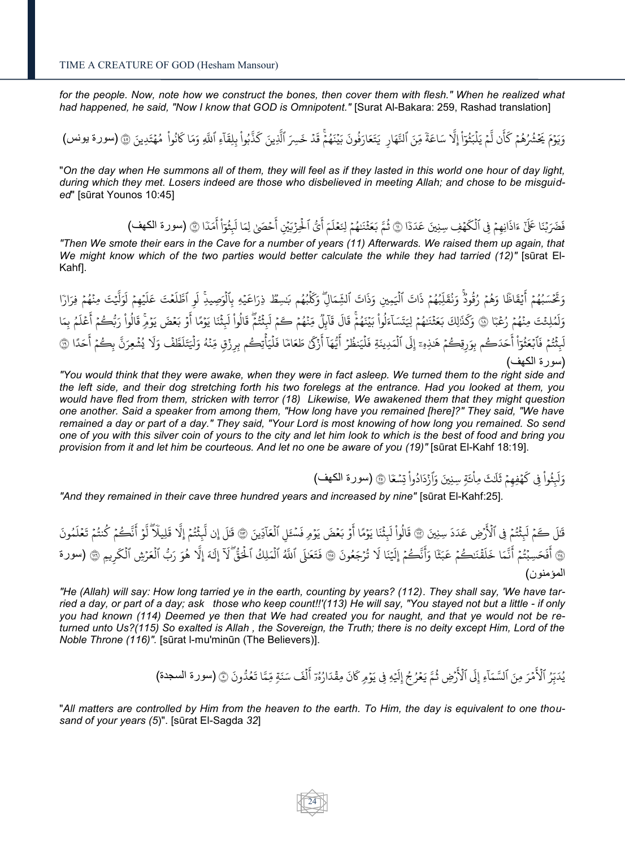for the people. Now, note how we construct the bones, then cover them with flesh." When he realized what *had happened, he said, "Now I know that GOD is Omnipotent."* [Surat Al-Bakara: 259, Rashad translation]

ء<br>م يَ ֘֝ ءَ<sub>ا</sub> ن ل ِ<br>په أ ر<br>م وَيَوۡمَ يَحۡشُرُهُمۡ كَأَن لَّمۡ يَلۡبَثُوٓاْ إِلَّا سَاعَةَ ֘ ر<br>و ُ  $\ddot{\phantom{0}}$  $\ddot{\phantom{0}}$ ٍ لْبَثُوٓاْ إِلَّا سَاعَةً مِّنَ ٱلنَّهَارِ ۖ يَتَعَارَفُونَ بَيْنَهُمْۚ قَدْ خَسِرَ ٱلَّذِينَ كَذَّبُواْ بِلِقَآءِ ٱللَّهِ وَمَا كَانُواْ إ ْ ا ر<br>په ؚ<br>آ <u>ٔ</u> ُ ذَّبُواْ بِلِقَا ْ ُ ر<br>م لَّذِينَ کَ يَتَعَارَفُونَ بَيْنَهُمْٓ قَدْ خَسِرَ ٱلَّذِينَ كَذَّبُواْ بِلِقَآءِ ٱللَّهِ وَمَا كَانُواْ مُهْتَدِينَ ۞ (سورة يونس) ہ<br>ا ៊ و<br>م ֧<sup>֓</sup> ُ ; ُ

"*On the day when He summons all of them, they will feel as if they lasted in this world one hour of day light, during which they met. Losers indeed are those who disbelieved in meeting Allah; and chose to be misguided*" [sūrat Younos 10:45]

> $\ddot{\phantom{0}}$ .<br>فَضَرَبْنَا عَلَىٰٓ ءَاذَانِهِمْ فِي ٱلْكَهۡفِ سِنِينَ عَدَدَّ ֺ֦֧֝<sup>֓</sup>֓  $\ddot{\phantom{0}}$ ر<br>م فِي ٱلْكَهْفِ سِنِينَ عَدَدَا ۞ ثُمَّ بَعَثْنَهُمْ لِنَعۡلَمَ أَيُّ ہ<br>آ أ  $\tilde{1}$ ثُمَّ بَعَثْنَهُمْ لِنَعْلَمَ أَيُّ ٱلْحِزْبَيْنِ أَحْصَىٰ لِمَا لَبِثْوَاْ أَمَدَّ ֘֝  $\ddot{\phantom{0}}$ و<br>م ់ ر<br>د ِ<br>ثَقَوْاً أَ أ ْ ا ر<br>په ِ<br>آ ِ<br>حۡصَیٰ لِمَا لَبِ َ<br>په اْلْحِزْبَيْنِ أَحْصَىٰ لِمَا لَبِثْوَاْ أَمَدًا ۞ (سورة الكهف) <u>ٔ</u> ہ<br>آ

*"Then We smote their ears in the Cave for a number of years (11) Afterwards. We raised them up again, that We might know which of the two parties would better calculate the while they had tarried (12)"* [sūrat El-Kahf].

ي<br>قاظ  $\ddot{\phantom{0}}$ َءَ ئ<br>تحَسَبُهُمۡ أَ  $\ddot{\phantom{0}}$ ر<br>ر ُ  $\ddot{\phantom{0}}$ وَتَحۡسَبُهُمۡ أَيۡقَاظََا وَهُمۡ رُقُودٌۚ وَنُقَلِّبُهُمۡ ذَاتَ ٱلۡيَٰمِينِ وَذَاتَ ٱلشِّمَالِۖ وَكَلۡبُهُم ُ ُ  $\ddot{\phantom{0}}$ ر<br>و و<br>م ُ ہ<br>آ  $\ddot{\phantom{0}}$ ُ ُ ֦֧֦֧֦ وَنُقَلِّبُهُمْ ذَاتَ ٱلْيَمِينِ وَذَاتَ ٱلشِّمَالِّ وَكَلْبُهُم بَسِطٌ ذِرَاعَيْهِ بِٱلْوَصِيدِ لَو ٱطَّلَعْتَ عَلَيْهِمْ لَوَلَّيْتَ مِنْهُمْ فِرَارَ ار<br>وفي ٰ ֺ֦֧֝<sup>֓</sup>֓  $\overline{a}$ ر<br>م ំ ُوَلَّٰٓۦ ِ<br>آ ل  $\ddot{\phantom{0}}$ يُمِمُ {}<sup>•</sup>  $\tilde{1}$ ي َ ع جَ ع ֘֝  $\tilde{1}$ ي ٍّ ٱظ ِ ٔ ِ<br>آ بِٱلۡوَصِيدِۚ لَوِ ٱطَّلَعۡتَ عَلَيۡهِمۡ لَوَلَّيۡتَ مِنۡهُمۡ فِرَارَا ہ<br>آ ت ع ر ً ٓ ٌِِ جَ يِئ ٍ ؚ<br>م ر<br>س  $\ddot{\phantom{0}}$ ر<br>ر ؙؚ<br>ؙ ؚ<br>ۣ ُ وَلَمُلِئْتَ مِنْهُمْ رُعْبَا ۞ وَكَذَٰلِكَ بَعَثْنَهُمْ ل  $\ddot{\phantom{0}}$ و<br>م ់ ֧<u>֚</u> ر<br>م وَكَذَٰلِكَ بَعَثۡنَـٰهُمۡ لِيَتَسَآءَلُوا۟ بَيۡنَهُمْۚ قَالَ قَآبِلُ  $\overline{1}$ ة<br>قا ً<br>آ ءَلُواْ بَيۡنَهُمۡۚ قَالَ ិ ُ ֺ֦֧֝<mark>֦</mark> ْ ُ ل  $\overline{1}$ لِيَتَسَآءَلُواْ بَيْنَهُمْۚ قَالَ قَاَبِلُ مِّنْهُمْ كَمْ لَبِثْتُمْ قَالُواْ لَبِثْنَا ្ធ ِ<br>آ ثَثُمَّ قَالُواْ لَبِ ْ ُ ֡׆<br>ׅ֦֧֚֚֚֚֚֚֚֚֚֚֚֚֚֚֚֚֚֚֚֚֚֚֚֚֚֚֚֞֘֘֩֓֡֓֬֓֞֓֞ ُ ្ធ ِ<br>آ مِّنْهُمۡ كَمۡ لَبِثۡتُمَّ قَالُواْ لَبِثۡنَا يَوۡمًا أَوۡ بَعۡضَ يَوۡمِّ  $\ddot{\phantom{0}}$ ׅ֘֒ ُ <u>្</u> ؚ<br>ۣ ; ِ<br>په يَوْمًا أَوْ بَعْضَ يَوْمِّ قَالُواْ رَبُّكُمْ أَعْلَمُ بِمَا ؚ<br>ۣ ر<br>ا ر<br>م ً<br>آ ي ع ہ<br>م ِ<br>په أ  $\frac{1}{2}$ واْ رَبُّڪُمْ ْ ۔<br>اَلْمَدِينَ ہ<br>آ ً<br>آ حَدَكُم بِوَرِقِكُمْ هَٰذِهِۦٓ إِلَى إ ٰ  $\frac{1}{2}$ ن<br>نُتُمۡ فَٱبۡعَثُوٓاْ أَ أ ْ ا ُ ֺ֦֧֝<sup>֓</sup>  $\ddot{\phantom{0}}$ ُ ؚ<br>ۣ ً<br>آ لَبِثْتُمْ فَٱبْعَثُوٓاْ أَحَدَكُم بِوَرِقِكُمْ هَدٰنِهِۦٓ إِلَى ٱلۡمَدِينَةِ فَلۡيَنظُرۡ أَيُّهَاۤ أَزْكَىٰ طَعَامَ زكئ ؙؚۜ۬ ء<br>آ آ أ ؞<br>ؾۿؘٳ ر<br>په ةِ فَلُيَنظُرُ أَيُّهَآ أَزْكَىٰ طَعَامَا فَلُيَأْتِكُم بِرِزْقٍ مِّنْهُ وَلْيَتَلَطَّفْ وَلَا يُشْعِرَنَّ ֧<sup>֓</sup> ر<br>وُ ہ<br>آ ុ<br>៖ ۡ ہ<br>آ ់ ُ ي ً<br>آ طَّفْ وَلَا ًٍّ<br>آ مِّنْهُ وَلْيَتَلَطَّفْ وَلَا يُشْعِرَنَّ بِكُمْ أَحَدًا ہ<br>آ ر<br>م ុ<br>: ِ<br>په أ  $\frac{1}{2}$ بِكُمْ أَحَدًا ۞ (سورة الكهف)

*"You would think that they were awake, when they were in fact asleep. We turned them to the right side and the left side, and their dog stretching forth his two forelegs at the entrance. Had you looked at them, you would have fled from them, stricken with terror (18) Likewise, We awakened them that they might question one another. Said a speaker from among them, "How long have you remained [here]?" They said, "We have remained a day or part of a day." They said, "Your Lord is most knowing of how long you remained. So send one of you with this silver coin of yours to the city and let him look to which is the best of food and bring you provision from it and let him be courteous. And let no one be aware of you (19)"* [sūrat El-Kahf 18:19].

> $\ddot{\phantom{0}}$ ة ر<br>شم نُوا فِی ک <u>ّ</u> ر<br>وفي ً<br>آ وَلَبِثُواْ فِي كَهْفِهِمْ ثَلَكَ مِاْئَةٍ سِنِينَ وَٱزْدَادُواْ تِسْعَا ۞ (سورة الكهف) ْ  $\ddot{\phantom{0}}$ ۡ ْ ُ ុ<br>៖

*"And they remained in their cave three hundred years and increased by nine"* [sūrat El-Kahf:25].

ِ<br>رُضِ عَدَدَ سِنِينَ ہ<br>آگ ثَتُمْ فِى الآز  $\ddot{\phantom{0}}$ ُ ؚ<br>ۣ ً<br>آ قَالَ كَمْ لَبِثْتُمْ فِي ٱلْأَرْضِ عَدَدَ سِنِينَ ۞ قَالُواْ لَبِثْنَا يَوْمًا أَوْ  $\ddot{\phantom{0}}$  $\ddot{\phantom{0}}$ ِ<br>په ثَنَا يَوۡمًا أَ  $\ddot{\phantom{0}}$ ់ ً<br>آ قَالُواْ لَبِثْنَا يَوْمًا أَوْ بَعْضَ يَوْمِ فَسْئَلِ ٱلْعَآدِّينَ <u>ٔ</u> ا  $\ddot{\phantom{0}}$ ر<br>آ لِ ٱلۡعَآدِينَ ۞ قَلَ إِن لَّبِثۡتُمۡ إِلَّا قَلِيلَآ ہ<br>آ .<br>آ يِيل َ ك ٍٍٍٍٍٍٍٍٍٍٍ ثَتُمَ إِلاَ إ  $\ddot{\phantom{0}}$ ُ ់ ِ<br>آ قَلَ إِن لَّبِثْتُمْ إِلَّا قَلِيلَاً لَّوۡ أَنَّكُمۡ إ  $\frac{1}{2}$ ِمَ خ ٔ ؚ<br>ۣ ہ<br>آ لَّوۡ أَنَّكُمۡ كُنتُمۡ تَعۡلَمُونَ ُ ً<br>آ ِ<br>كُنتُمۡ تَعۡلَ ֘֝  $\frac{1}{2}$ ِ<br>په ر نَا أَفَحَسِبْتُمْ أَنَّمَا خَلَقْنَكُمْ عَبَثَ  $\ddot{\phantom{0}}$ ۡ .<br>آ ي َ ا خ َ ٍ ٍّ ج ا<br>ج فَحَسِبْتُمْ أَ  $\ddot{\phantom{0}}$ ُ ؚ۬<sub>ۣ</sub> ر مسلماً عليه عنها عَبْنَا وَأَنَّكُمْ إِلَيْنَا لَا تُرْجَعُونَ<br>أَفَحَسِبُتُمْ أَنَّمَا خَلَقْنَكُمْ عَبَثَا وَأَنَّكُمْ إِلَيْنَا لَا تُرْجَعُونَ أ ُ ֺ֦֧֝<sup>֓</sup> ُ َ ا َّل َ ِ  $\overline{a}$ ً<br>آ نَّڪُمۡۚ إِلَيۡ إ  $\ddot{\phantom{0}}$ ر<br>په َا وَأَنَّكُمْ إِلَيْنَا لَا تُرْجَعُونَ ۞ فَتَعَلَى ٱ ٰ .<br>آ ِ<br>لا إ ر<br>آ للَّهُ ٱلْمَلِكُ ٱلْحَقُّ ۖلَآ إِلَهَ إِلَّا هُوَ رَبُّ ٱلْعَرْشِ ٱلْكَرِيمِ ر<br>آ ہ<br>آ ر<br>ج هُوَ رَبُّ ٱلْعَرْشِ ٱلْكَ ہ<br>آ  $\ddot{\phantom{0}}$ ہ<br>آ ر<br>د ٍّ ة إِلَّا هُوَ رَبُّ ٱلْعَرْشِ ٱلْكَرِيمِ ۞ (سورة إ المؤمنون(

*"He (Allah) will say: How long tarried ye in the earth, counting by years? (112). They shall say, 'We have tarried a day, or part of a day; ask those who keep count!!'(113) He will say, "You stayed not but a little - if only you had known (114) Deemed ye then that We had created you for naught, and that ye would not be returned unto Us?(115) So exalted is Allah , the Sovereign, the Truth; there is no deity except Him, Lord of the Noble Throne (116)".* [sūrat l-mu'minūn (The Believers)].

> م ٔ َ ِِف ي ِّ ؙؚ<br>ؙ  $\overline{a}$  $\tilde{1}$ رِّضِ ثُمَّ يَعْرُجُ إِلَيْ إ ُ ُ ֘֝ ُ ِ<br>أي الار ً<br>آ َِل ءِ إ ٓ مْرَ مِنَ ٱلسَّمَاّ  $\ddot{\phantom{a}}$ ِ<br>نگا يُدَبِّرُ ٱلْأَمْرَ مِنَ ٱلسَّمَآءِ إِلَى ٱلْأَرۡضِ ثُمَّ يَعۡرُجُ إِلَيۡهِ فِى يَوۡمِ كَانَ مِقۡدَارُهُۥٓ أَلۡفَ سَنَةِ ُ الا<br>ا ہ<br>آ ءِ<br>په كَانَ مِقْدَارُهُڗ أَلْفَ سَنَةٍ مِّمَّا تَعُدُّونَ ۞ (سورة السجدة) ر<br>م ُ ់ ر<br>•

"*All matters are controlled by Him from the heaven to the earth. To Him, the day is equivalent to one thousand of your years (5*)". [sūrat El-Sagda *32*]

24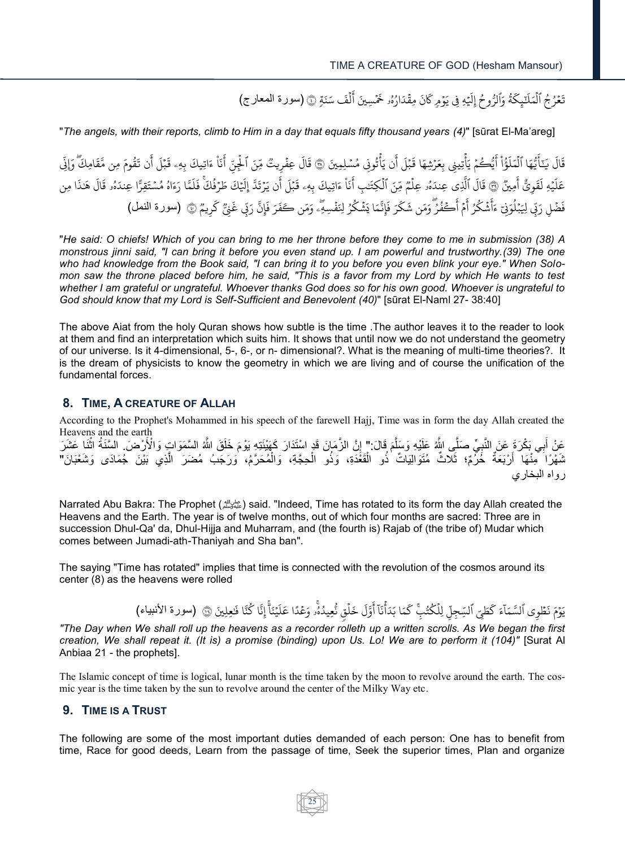ِ<br>لَفَ سَنَةٍ ہ<br>آ ِمَةٍ هِ فِي يَوْمِ كَانَ مِقْدَارُهُۥ خَمْسِينَ أَ  $\ddot{\phantom{0}}$ ر<br>ا ُ ۡ  $\ddot{\phantom{0}}$  $\overline{a}$ ً<br>آ ةُ وَٱلرُّوحُ إِلَيْ إ ُ ُ ر<br>م ڷ<sub>ٙڲٟ</sub>ػ تَعُرُجُ ٱلْمَلَنَّبِكَةُ وَٱلرُّوحُ إِلَيْهِ فِي يَوْمٍ كَانَ مِقْدَارُهُۥ خَمْسِينَ أَلْفَ سَنَةٍ ۞ (سورة المعارج) ہ<br>آ ُ ُ  $\ddot{\phantom{0}}$ 

"*The angels, with their reports, climb to Him in a day that equals fifty thousand years (4)*" [sūrat El-Ma'areg]

ن يَأْتُونِي مُسْلِمِينَ ۡ ُ  $\ddot{\cdot}$ ہ<br>ء يُّڪُمْ يَأْتِينِي بِعَرْشِهَا قَبْلَ أَ أ ۡ ۡ ہ<br>پو  $\ddot{\phantom{0}}$ َءَ خ ؤ ْ ا ر<br>و  $\tilde{1}$ يُّهَا ٱلْمَلَ ہ<br>آ ءِ<br>په د ٰٓ َ ي ً<br>آ قَالَ يَـٓأَيُّهَا ٱلْمَلَوُّاْ أَيُّكُمْ يَأْتِينِي بِعَرْشِهَا قَبْلَ أَن يَأْتُونِي مُسْلِمِينَ ۞ قَالَ عِفْرِيتُ ؚ<br>: ِ<br>آ قَالَ عِفْرِيتٌ مِّنَ ٱلْجِنِّ أَنَاْ ءَاتِيكَ بِهِۦ قَبْلَ أَن تَقُومَ مِن مَّقَامِكَّ ر<br>و .<br>نَاْ ءَاتِيكَ بِهِۦ قَبْلَ أَ أ ۡ <u>ا</u> ر<br>ع خ ِ قِنَ ٱلْجِنِّ أَنَاْ ءَاتِيكَ بِهِۦ قَبْلَ أَن تَقُومَ مِن مَّقَامِكَ ۖ وَإِذِّ ہ<br>آ ب<br>به ِإَوَّن ً<br>قَوِيٌّ أَمِينٌ أ ً<br>آ يُّهِ ل  $\ddot{\phantom{0}}$  $\tilde{1}$ عَلَيْهِ لَقَوِيٌّ أَمِينٌ ۞ قَالَ ٱلَّذِى عِندَهُۥ عِلَمٌ مِّنَ ٱلْكِتَـٰبِ أَنَاْ ءَاتِيكَ بِهِۦ قَبْلَ أَن يَرْتَدَّ {}<sup>2</sup> َ<br>نَاْ ءَاتِيكَ بِهِۦ قَبْلَ أَ أ ۡ ۠ ِ<br>۽ ى عِندَهُۥ عِلْمٌ مِّنَ ٱلْكِتَـٰبِ أَ ٰ ہ<br>آ ہ<br>آ ر<br>م ٍٍٍٍٍٍٍٍٍٍٍٍٍٍٍٍٍٍٍ الَّذِ ِ<br>آ قَالَ ٱلَّذِي عِندَهُۥ عِلْمٌ مِّنَ ٱلْكِتَـٰبِ أَنَاْ ءَاتِيكَ بِهِۦ قَبْلَ أَن يَرْتَدَّ إِلَيْكَ طَرُفُكَّ فَلَمَّا رَءَاهُ مُسْتَقِرًّا عِندَ ۡ ُ و<br>م  $\tilde{1}$ لَيۡكَ طَرۡفُكَۚ فَلَ <u>ُ</u> ۡ لَيۡكَ طَرۡفُكَۖ فَلَمَّا رَءَاهُ مُسۡتَقِرًّا عِندَهُۥ قَالَ هَٰذَا مِن إ ِ<br>آ هُو قَالَ و<br>م ِ فَضْلِ رَبِّي لِيَبْلُوَنِيٓ ءَأَشۡكُرُ أَمۡ أَكۡفُرٌ وَمَن شَكَرَ فَإِنَّمَا يَشۡكُرُ لِنَفۡسِهِۗۦ وَمَن كَفَرَ فَإِنَّ رَبِّي غَنِّيُّ <u>:</u> ُ ر<br>م ់ ر<br>ج أَڪَفُرُ وَمَن شَكَ صا<br>و ُ أ  $\ddot{\phantom{0}}$ م ِ<br>په أ ُ شَكَرُ ر<br>م ់ بَمْلَوَنِيٓ ءَأَشۡكُرُ أَمۡ أَكۡفُرُ ۖ وَمَن شَكَرَ فَإِنَّمَا يَشۡكُرُ لِنَفۡسِهِۗۦ وَمَن كَفَرَ فَإِنَّ رَبِّى غَنِيٌّ كَرِيمٌ أ ُ ۡ كَرِيمٌ ۞ (سورة النمل)

"*He said: O chiefs! Which of you can bring to me her throne before they come to me in submission (38) A monstrous jinni said, "I can bring it before you even stand up. I am powerful and trustworthy.(39) The one who had knowledge from the Book said, "I can bring it to you before you even blink your eye." When Solomon saw the throne placed before him, he said, "This is a favor from my Lord by which He wants to test whether I am grateful or ungrateful. Whoever thanks God does so for his own good. Whoever is ungrateful to God should know that my Lord is Self-Sufficient and Benevolent (40)*" [sūrat El-Naml 27- 38:40]

The above Aiat from the holy Quran shows how subtle is the time .The author leaves it to the reader to look at them and find an interpretation which suits him. It shows that until now we do not understand the geometry of our universe. Is it 4-dimensional, 5-, 6-, or n- dimensional?. What is the meaning of multi-time theories?. It is the dream of physicists to know the geometry in which we are living and of course the unification of the fundamental forces.

## **8. TIME, A CREATURE OF ALLAH**

According to the Prophet's Mohammed in his speech of the farewell Hajj, Time was in form the day Allah created the Heavens and the earth

عَنْ أَبِي بَكْرَةَ عَنَ النَّبِيِّ صَلَّى اللَّهُ عَلَيْهِ وَسَلَّمَ قَالَ:" إِنَّ الزَّمَانَ قَدٍ اسْتَذَارَ كَهَيْئَذِهِ يَوْمَ خَلَقَ اللَّهُ السَّمَوَاتِ وَالْأَرْضَ. السَّنَةُ اثْنَا عَشَرَ ِ َّ  $\overline{\phantom{a}}$ ْ ثَمَّوْا ۖ مِّنْهَا ۖ أَرْبَعَةٌ ۚ خُرُّمٌ؛ ثَلَّاثٌ مُتَوَالِيَاتٌ ٰذُو الْقَغْدَةِ، وَذُو الْحِجَّةِ، وَالْمُحَرَّمُ، وَرَجَبُ مُضَرَ ۗ الَّذِي بَيْنَ جُمَادَى وَشَعْبَانَ" ْ ْ ْ َ رواه البخاري

Narrated Abu Bakra: The Prophet (صلى الله عليه وسلم (said. "Indeed, Time has rotated to its form the day Allah created the Heavens and the Earth. The year is of twelve months, out of which four months are sacred: Three are in succession Dhul-Qa' da, Dhul-Hijja and Muharram, and (the fourth is) Rajab of (the tribe of) Mudar which comes between Jumadi-ath-Thaniyah and Sha ban".

The saying "Time has rotated" implies that time is connected with the revolution of the cosmos around its center (8) as the heavens were rolled

خَلْقٍ ہ<br>آ ً<br>آ ل ٍّ و ر<br>آ آ أ <sub>ِ</sub><br>مَا بَدَأَنَا .<br>ح <sub>ِ</sub> لِلكُتُبِّ ك ُ ر<br>م ہ<br>آ ِ<br>طِيِّ ٱلسِّجِلِّ .<br>ح ن َ ء  $\overline{1}$ يَوْمَ نَطْوِي ٱلسَّمَآءَ كَطَيّ ٱلسِّجِلِّ لِلْكُتُبِۚ كَمَا بَدَأْنَآ أَوَّلَ خَلْقٍ نُّعِيدُهُۚ وَعْدًا عَلَيْنَأَّ إِنَّا كُنَّا فَعِلِينَ ۡ ؙؚ<br>ؙ ٰ ر ہے<br>آ م<br>يُنَا ֘ ً<br>آ نُّعِيدُهُۚ وَعُدًا عَلَيْنَأَٓ إِنَّا كُنَّا فَلِحِلِينَ ۞ (سورة الأنبياء) ؚ<br>م جح<br>م ر<br>ا *"The Day when We shall roll up the heavens as a recorder rolleth up a written scrolls. As We began the first creation, We shall repeat it. (It is) a promise (binding) upon Us. Lo! We are to perform it (104)"* [Surat Al Anbiaa 21 - the prophets].

ہ<br>ع

The Islamic concept of time is logical, lunar month is the time taken by the moon to revolve around the earth. The cosmic year is the time taken by the sun to revolve around the center of the Milky Way etc.

#### **9. TIME IS A TRUST**

The following are some of the most important duties demanded of each person: One has to benefit from time, Race for good deeds, Learn from the passage of time, Seek the superior times, Plan and organize

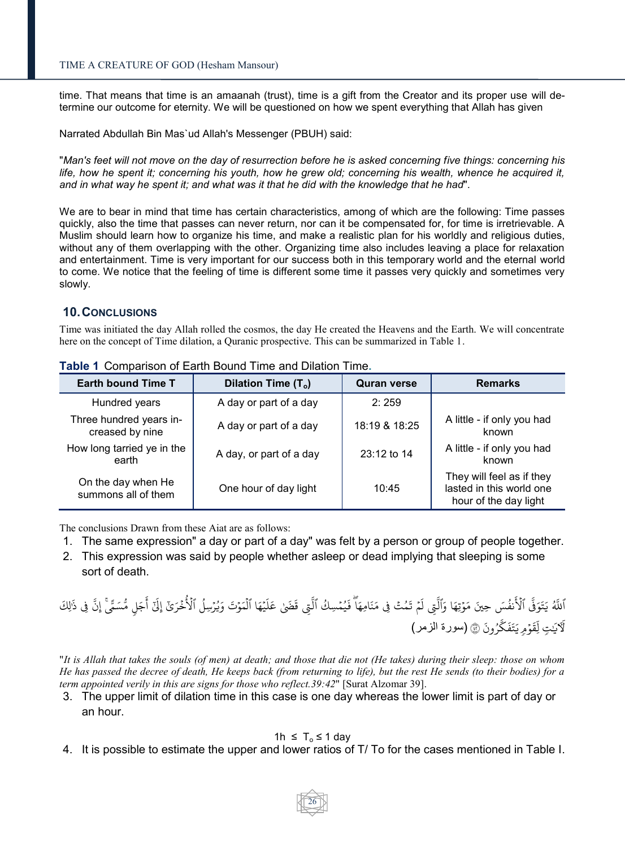time. That means that time is an amaanah (trust), time is a gift from the Creator and its proper use will determine our outcome for eternity. We will be questioned on how we spent everything that Allah has given

Narrated Abdullah Bin Mas`ud Allah's Messenger (PBUH) said:

"*Man's feet will not move on the day of resurrection before he is asked concerning five things: concerning his life, how he spent it; concerning his youth, how he grew old; concerning his wealth, whence he acquired it, and in what way he spent it; and what was it that he did with the knowledge that he had*".

We are to bear in mind that time has certain characteristics, among of which are the following: Time passes quickly, also the time that passes can never return, nor can it be compensated for, for time is irretrievable. A Muslim should learn how to organize his time, and make a realistic plan for his worldly and religious duties, without any of them overlapping with the other. Organizing time also includes leaving a place for relaxation and entertainment. Time is very important for our success both in this temporary world and the eternal world to come. We notice that the feeling of time is different some time it passes very quickly and sometimes very slowly.

### **10.CONCLUSIONS**

Time was initiated the day Allah rolled the cosmos, the day He created the Heavens and the Earth. We will concentrate here on the concept of Time dilation, a Quranic prospective. This can be summarized in Table 1.

| <b>Earth bound Time T</b>                  | Dilation Time (T <sub>o</sub> ) | <b>Quran verse</b> | <b>Remarks</b>                                                                 |
|--------------------------------------------|---------------------------------|--------------------|--------------------------------------------------------------------------------|
| Hundred years                              | A day or part of a day          | 2:259              |                                                                                |
| Three hundred years in-<br>creased by nine | A day or part of a day          | 18:19 & 18:25      | A little - if only you had<br>known                                            |
| How long tarried ye in the<br>earth        | A day, or part of a day         | 23:12 to 14        | A little - if only you had<br>known                                            |
| On the day when He<br>summons all of them  | One hour of day light           | 10:45              | They will feel as if they<br>lasted in this world one<br>hour of the day light |

**Table 1** Comparison of Earth Bound Time and Dilation Time**.**

The conclusions Drawn from these Aiat are as follows:

- 1. The same expression" a day or part of a day" was felt by a person or group of people together.
- 2. This expression was said by people whether asleep or dead implying that sleeping is some sort of death.

ِ<br>نفُسَ حِينَ ُ َ ۡ اَللَّهُ يَتَوَفَّى ٱلْأَنفُسَ حِينَ مَوْتِهَا وَٱلَّتِي لَمْ تَمُتْ فِي مَنَامِهَا ۖ فَيُمْسِكُ ٱلْقَبِي قَضَىٰ عَلَيْهَا ٱلْمَوْتَ وَيُرْسِلُ ٱلْأُخْرَىٰٓ إِلَيْ ُخْرَيْ إِلَيْ  $\ddot{\cdot}$ و<br>م يَهَا ٱلْمَوۡتَ وَيُرۡسِلُ ٱلۡأُ ُ {}<sup>2</sup> ُ ؚ<br>; ہ<br>آ {}<sub>•</sub>  $\tilde{1}$ ِّق قَضَىٰ عَلَ ہ<br>آ مْ تَمُتۡ فِى مَنَامِهَآ فَيُمۡسِكُ ٱلَّ  $\ddot{\phantom{0}}$ ُ ُ  $\ddot{\phantom{0}}$ ً<br>آ ِِت ل ءَ<sub>ا</sub> مَوْتِهَا وَٱلَّتِي لَمْ تَمُتُ فِي مَنَامِهَا فَيُمْسِكُ ٱلَّتِي قَضَىٰ عَلَيْهَا ٱلْمَوْتَ وَيُرْسِلُ ٱلْأُخْرَىٰٓ إِلَىٰٓ أَجَلٍ مُّسَمًّىٰۚ إِنَّ فِي ذَٰلِكَ ֦֧<sup>֓</sup> ٰ ءِ<br>په أ رُونَ ُ ٍّ قَوۡمِ يَتَفَكَّ  $\ddot{\phantom{a}}$ .<br>آ لَآيَتٍ لِّقَوْمٍ يَتَفَكَّرُونَ ۞ (سورة الزمر) ٰ

"*It is Allah that takes the souls (of men) at death; and those that die not (He takes) during their sleep: those on whom He has passed the decree of death, He keeps back (from returning to life), but the rest He sends (to their bodies) for a term appointed verily in this are signs for those who reflect.39:42*" [Surat Alzomar 39].

3. The upper limit of dilation time in this case is one day whereas the lower limit is part of day or an hour.

### 1h ≤  $T_0$  ≤ 1 day

4. It is possible to estimate the upper and lower ratios of T/ To for the cases mentioned in Table I.

26